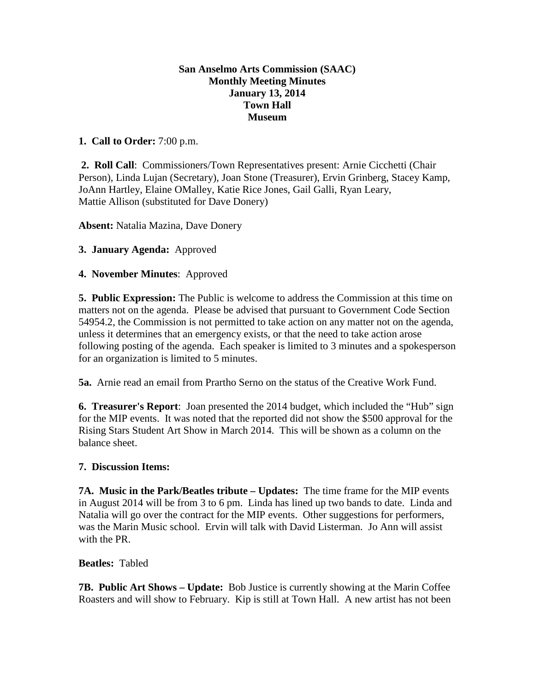## **San Anselmo Arts Commission (SAAC) Monthly Meeting Minutes January 13, 2014 Town Hall Museum**

# **1. Call to Order:** 7:00 p.m.

**2. Roll Call**: Commissioners/Town Representatives present: Arnie Cicchetti (Chair Person), Linda Lujan (Secretary), Joan Stone (Treasurer), Ervin Grinberg, Stacey Kamp, JoAnn Hartley, Elaine OMalley, Katie Rice Jones, Gail Galli, Ryan Leary, Mattie Allison (substituted for Dave Donery)

**Absent:** Natalia Mazina, Dave Donery

# **3. January Agenda:** Approved

# **4. November Minutes**: Approved

**5. Public Expression:** The Public is welcome to address the Commission at this time on matters not on the agenda. Please be advised that pursuant to Government Code Section 54954.2, the Commission is not permitted to take action on any matter not on the agenda, unless it determines that an emergency exists, or that the need to take action arose following posting of the agenda. Each speaker is limited to 3 minutes and a spokesperson for an organization is limited to 5 minutes.

**5a.** Arnie read an email from Prartho Serno on the status of the Creative Work Fund.

**6. Treasurer's Report**: Joan presented the 2014 budget, which included the "Hub" sign for the MIP events. It was noted that the reported did not show the \$500 approval for the Rising Stars Student Art Show in March 2014. This will be shown as a column on the balance sheet.

# **7. Discussion Items:**

**7A. Music in the Park/Beatles tribute – Updates:** The time frame for the MIP events in August 2014 will be from 3 to 6 pm. Linda has lined up two bands to date. Linda and Natalia will go over the contract for the MIP events. Other suggestions for performers, was the Marin Music school. Ervin will talk with David Listerman. Jo Ann will assist with the PR.

# **Beatles:** Tabled

**7B. Public Art Shows – Update:** Bob Justice is currently showing at the Marin Coffee Roasters and will show to February. Kip is still at Town Hall. A new artist has not been